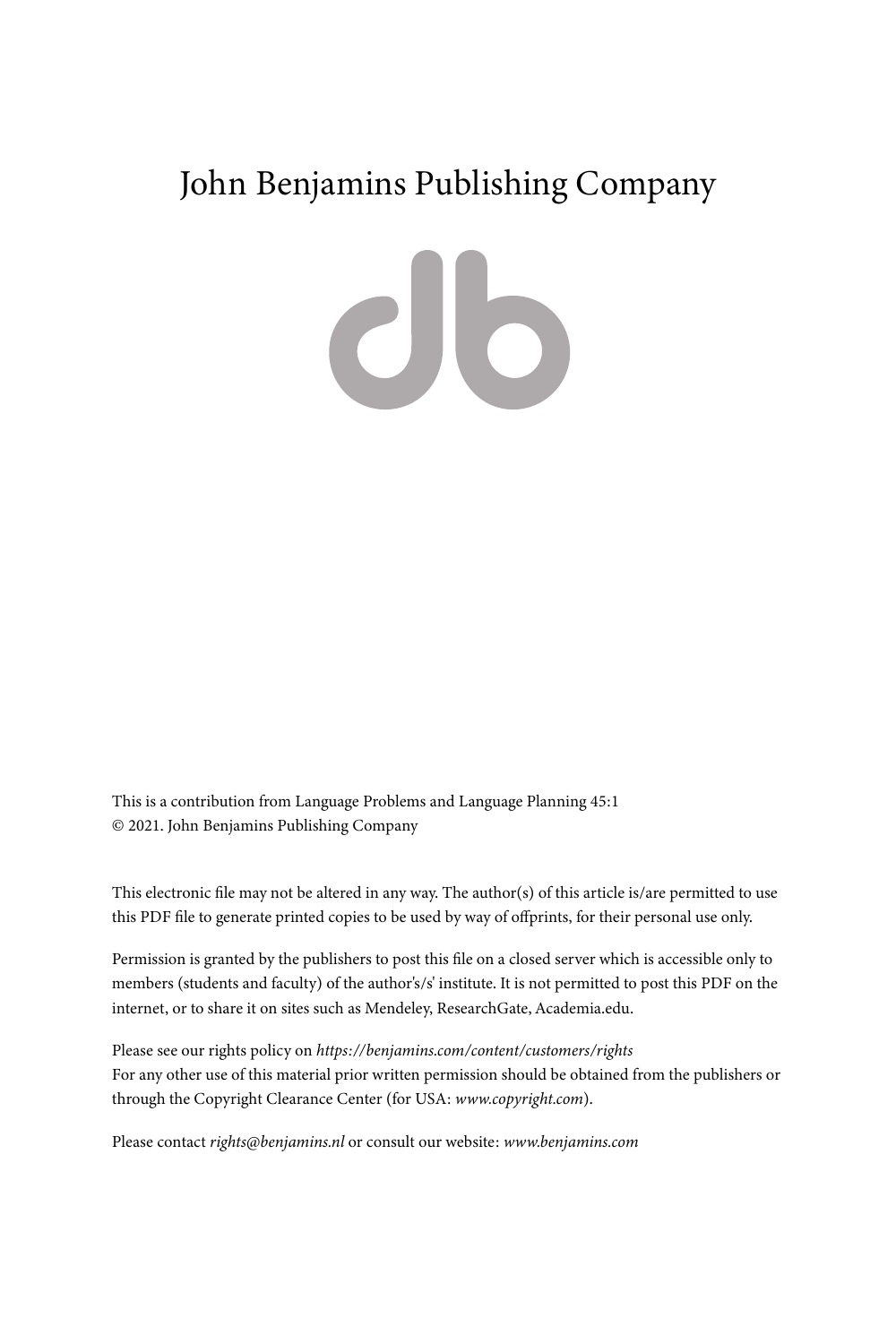# John Benjamins Publishing Company

 $\mathbf{d}$ 

This is a contribution from Language Problems and Language Planning 45:1 © 2021. John Benjamins Publishing Company

This electronic file may not be altered in any way. The author(s) of this article is/are permitted to use this PDF file to generate printed copies to be used by way of offprints, for their personal use only.

Permission is granted by the publishers to post this file on a closed server which is accessible only to members (students and faculty) of the author's/s' institute. It is not permitted to post this PDF on the internet, or to share it on sites such as Mendeley, ResearchGate, Academia.edu.

Please see our rights policy on *https://benjamins.com/content/customers/rights* For any other use of this material prior written permission should be obtained from the publishers or through the Copyright Clearance Center (for USA: *www.copyright.com*).

Please contact *rights@benjamins.nl* or consult our website: *www.benjamins.com*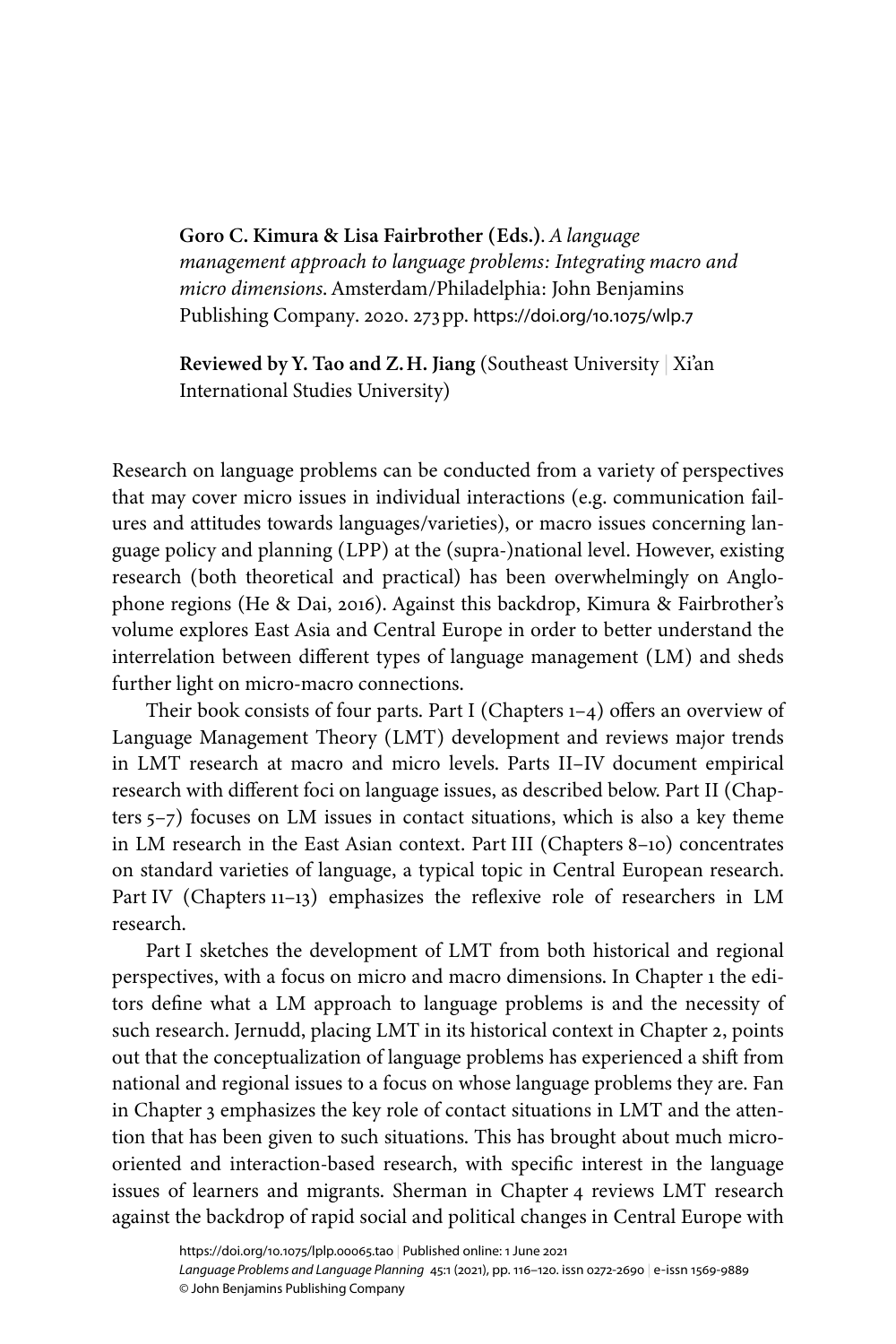**Goro C. Kimura & Lisa Fairbrother (Eds.)**. *A language management approach to language problems: Integrating macro and micro dimensions*. Amsterdam/Philadelphia: John Benjamins Publishing Company. 2020. 273pp. [https://doi.org/10.1075/wlp.7](https://doi.org/10.1075%2Fwlp.7)

**Reviewed by Y. Tao and Z.H. Jiang** (Southeast University | Xi'an International Studies University)

Research on language problems can be conducted from a variety of perspectives that may cover micro issues in individual interactions (e.g. communication failures and attitudes towards languages/varieties), or macro issues concerning language policy and planning (LPP) at the (supra-)national level. However, existing research (both theoretical and practical) has been overwhelmingly on Anglophone regions [\(He & Dai, 2016\)](#page-5-0). Against this backdrop, Kimura & Fairbrother's volume explores East Asia and Central Europe in order to better understand the interrelation between different types of language management (LM) and sheds further light on micro-macro connections.

Their book consists of four parts. Part I (Chapters 1–4) offers an overview of Language Management Theory (LMT) development and reviews major trends in LMT research at macro and micro levels. Parts II–IV document empirical research with different foci on language issues, as described below. Part II (Chapters 5–7) focuses on LM issues in contact situations, which is also a key theme in LM research in the East Asian context. Part III (Chapters 8–10) concentrates on standard varieties of language, a typical topic in Central European research. Part IV (Chapters 11–13) emphasizes the reflexive role of researchers in LM research.

Part I sketches the development of LMT from both historical and regional perspectives, with a focus on micro and macro dimensions. In Chapter 1 the editors define what a LM approach to language problems is and the necessity of such research. Jernudd, placing LMT in its historical context in Chapter 2, points out that the conceptualization of language problems has experienced a shift from national and regional issues to a focus on whose language problems they are. Fan in Chapter 3 emphasizes the key role of contact situations in LMT and the attention that has been given to such situations. This has brought about much microoriented and interaction-based research, with specific interest in the language issues of learners and migrants. Sherman in Chapter 4 reviews LMT research against the backdrop of rapid social and political changes in Central Europe with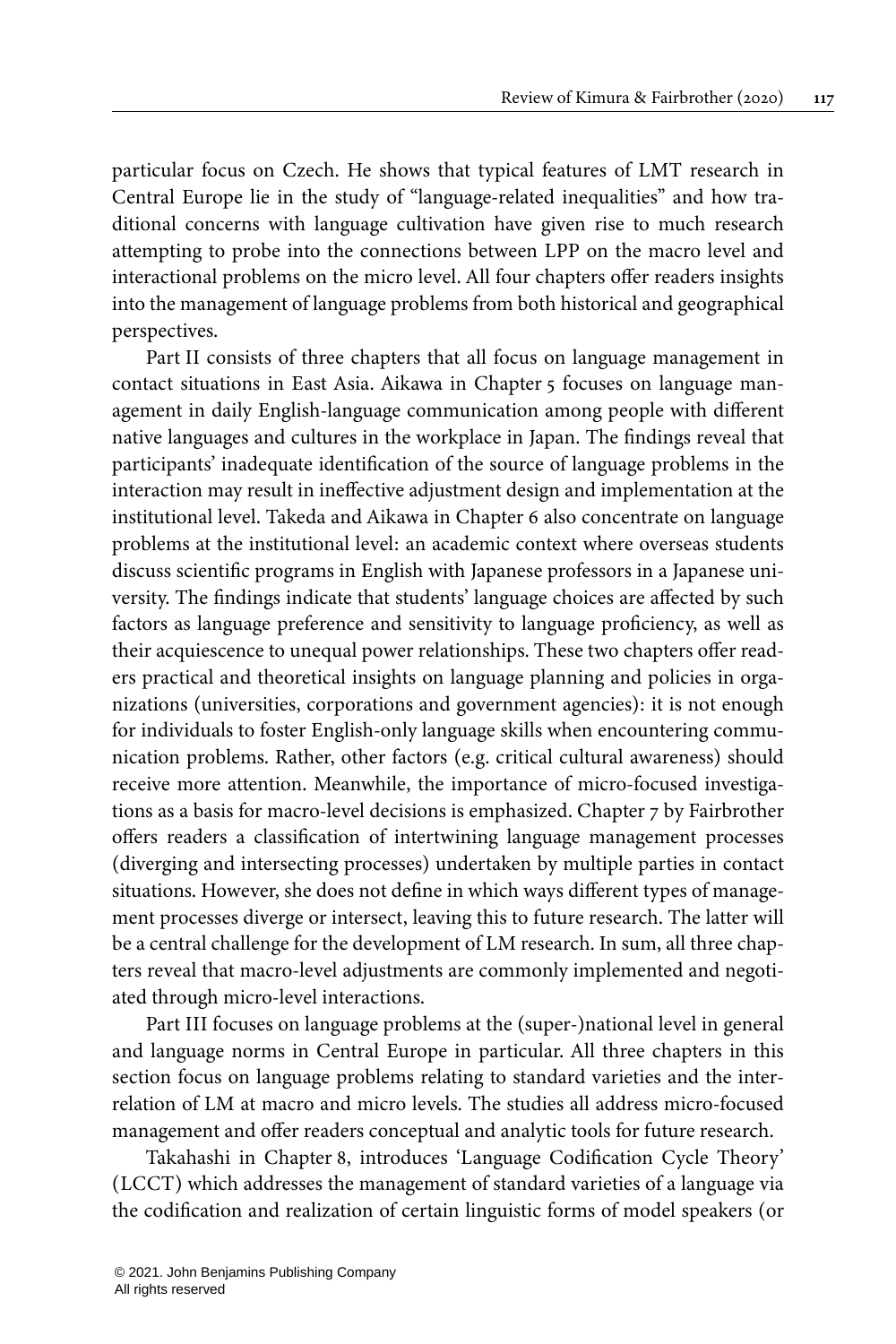particular focus on Czech. He shows that typical features of LMT research in Central Europe lie in the study of "language-related inequalities" and how traditional concerns with language cultivation have given rise to much research attempting to probe into the connections between LPP on the macro level and interactional problems on the micro level. All four chapters offer readers insights into the management of language problems from both historical and geographical perspectives.

Part II consists of three chapters that all focus on language management in contact situations in East Asia. Aikawa in Chapter 5 focuses on language management in daily English-language communication among people with different native languages and cultures in the workplace in Japan. The findings reveal that participants' inadequate identification of the source of language problems in the interaction may result in ineffective adjustment design and implementation at the institutional level. Takeda and Aikawa in Chapter 6 also concentrate on language problems at the institutional level: an academic context where overseas students discuss scientific programs in English with Japanese professors in a Japanese university. The findings indicate that students' language choices are affected by such factors as language preference and sensitivity to language proficiency, as well as their acquiescence to unequal power relationships. These two chapters offer readers practical and theoretical insights on language planning and policies in organizations (universities, corporations and government agencies): it is not enough for individuals to foster English-only language skills when encountering communication problems. Rather, other factors (e.g. critical cultural awareness) should receive more attention. Meanwhile, the importance of micro-focused investigations as a basis for macro-level decisions is emphasized. Chapter 7 by Fairbrother offers readers a classification of intertwining language management processes (diverging and intersecting processes) undertaken by multiple parties in contact situations. However, she does not define in which ways different types of management processes diverge or intersect, leaving this to future research. The latter will be a central challenge for the development of LM research. In sum, all three chapters reveal that macro-level adjustments are commonly implemented and negotiated through micro-level interactions.

Part III focuses on language problems at the (super-)national level in general and language norms in Central Europe in particular. All three chapters in this section focus on language problems relating to standard varieties and the interrelation of LM at macro and micro levels. The studies all address micro-focused management and offer readers conceptual and analytic tools for future research.

Takahashi in Chapter 8, introduces 'Language Codification Cycle Theory' (LCCT) which addresses the management of standard varieties of a language via the codification and realization of certain linguistic forms of model speakers (or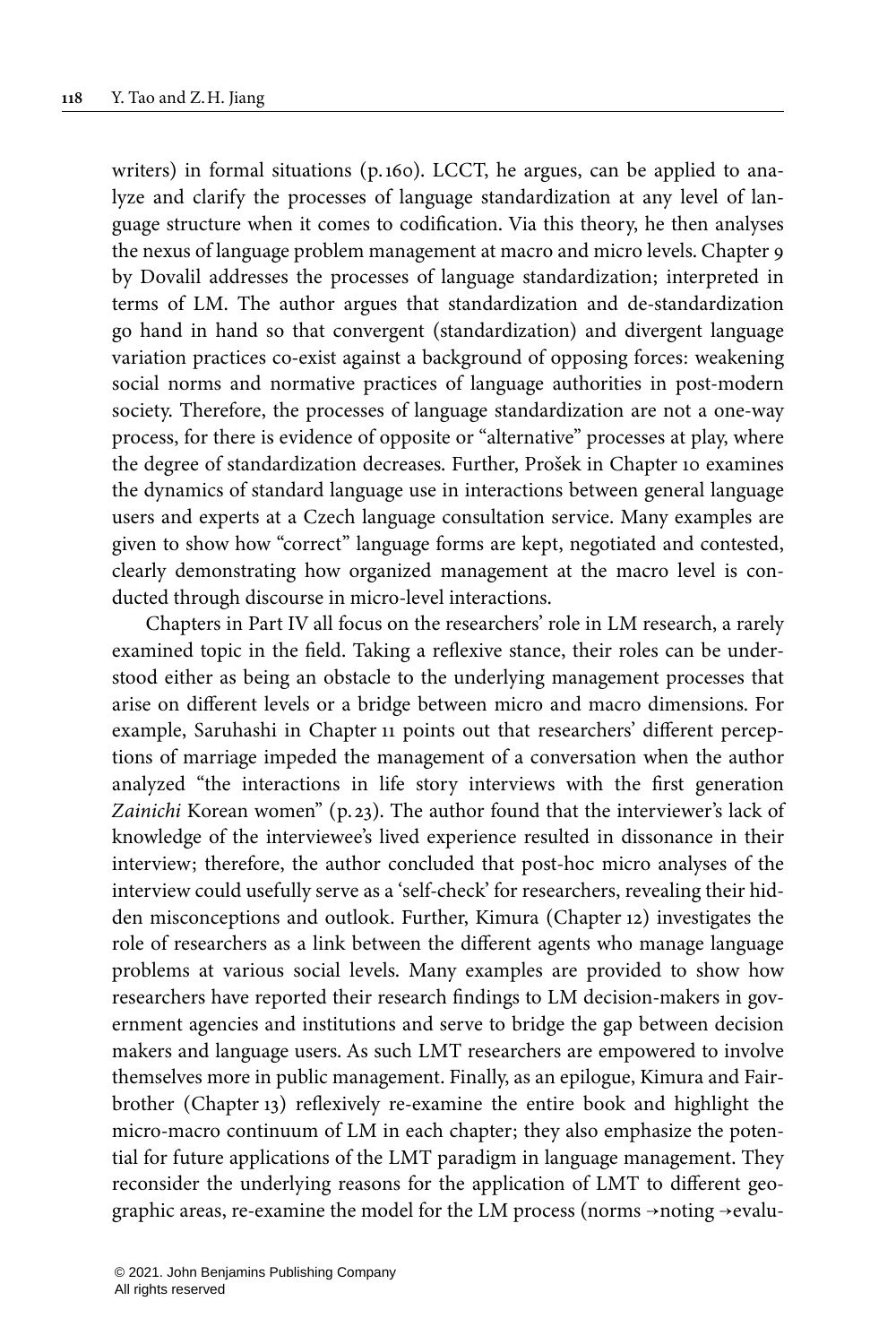writers) in formal situations (p.160). LCCT, he argues, can be applied to analyze and clarify the processes of language standardization at any level of language structure when it comes to codification. Via this theory, he then analyses the nexus of language problem management at macro and micro levels. Chapter 9 by Dovalil addresses the processes of language standardization; interpreted in terms of LM. The author argues that standardization and de-standardization go hand in hand so that convergent (standardization) and divergent language variation practices co-exist against a background of opposing forces: weakening social norms and normative practices of language authorities in post-modern society. Therefore, the processes of language standardization are not a one-way process, for there is evidence of opposite or "alternative" processes at play, where the degree of standardization decreases. Further, Prošek in Chapter 10 examines the dynamics of standard language use in interactions between general language users and experts at a Czech language consultation service. Many examples are given to show how "correct" language forms are kept, negotiated and contested, clearly demonstrating how organized management at the macro level is conducted through discourse in micro-level interactions.

Chapters in Part IV all focus on the researchers' role in LM research, a rarely examined topic in the field. Taking a reflexive stance, their roles can be understood either as being an obstacle to the underlying management processes that arise on different levels or a bridge between micro and macro dimensions. For example, Saruhashi in Chapter 11 points out that researchers' different perceptions of marriage impeded the management of a conversation when the author analyzed "the interactions in life story interviews with the first generation Zainichi Korean women" (p. 23). The author found that the interviewer's lack of knowledge of the interviewee's lived experience resulted in dissonance in their interview; therefore, the author concluded that post-hoc micro analyses of the interview could usefully serve as a 'self-check' for researchers, revealing their hidden misconceptions and outlook. Further, Kimura (Chapter 12) investigates the role of researchers as a link between the different agents who manage language problems at various social levels. Many examples are provided to show how researchers have reported their research findings to LM decision-makers in government agencies and institutions and serve to bridge the gap between decision makers and language users. As such LMT researchers are empowered to involve themselves more in public management. Finally, as an epilogue, Kimura and Fairbrother (Chapter 13) reflexively re-examine the entire book and highlight the micro-macro continuum of LM in each chapter; they also emphasize the potential for future applications of the LMT paradigm in language management. They reconsider the underlying reasons for the application of LMT to different geographic areas, re-examine the model for the LM process (norms →noting →evalu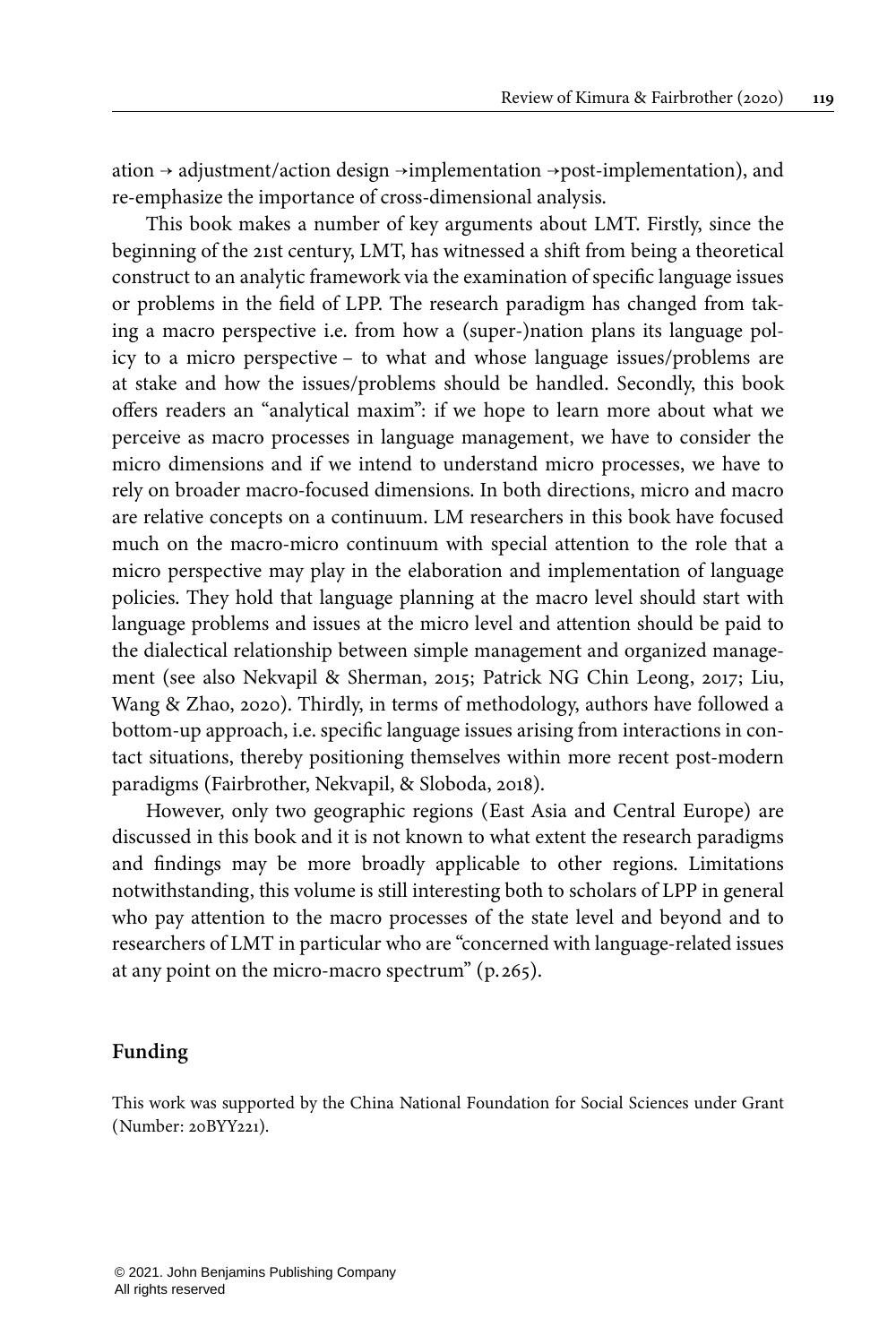ation → adjustment/action design →implementation →post-implementation), and re-emphasize the importance of cross-dimensional analysis.

This book makes a number of key arguments about LMT. Firstly, since the beginning of the 21st century, LMT, has witnessed a shift from being a theoretical construct to an analytic framework via the examination of specific language issues or problems in the field of LPP. The research paradigm has changed from taking a macro perspective i.e. from how a (super-)nation plans its language policy to a micro perspective – to what and whose language issues/problems are at stake and how the issues/problems should be handled. Secondly, this book offers readers an "analytical maxim": if we hope to learn more about what we perceive as macro processes in language management, we have to consider the micro dimensions and if we intend to understand micro processes, we have to rely on broader macro-focused dimensions. In both directions, micro and macro are relative concepts on a continuum. LM researchers in this book have focused much on the macro-micro continuum with special attention to the role that a micro perspective may play in the elaboration and implementation of language policies. They hold that language planning at the macro level should start with language problems and issues at the micro level and attention should be paid to the dialectical relationship between simple management and organized management (see also [Nekvapil & Sherman, 2015;](#page-5-2) [Patrick NG Chin Leong, 2017](#page-5-3); [Liu,](#page-5-4) [Wang & Zhao, 2020\)](#page-5-4). Thirdly, in terms of methodology, authors have followed a bottom-up approach, i.e. specific language issues arising from interactions in contact situations, thereby positioning themselves within more recent post-modern paradigms ([Fairbrother, Nekvapil, & Sloboda, 2018\)](#page-5-5).

However, only two geographic regions (East Asia and Central Europe) are discussed in this book and it is not known to what extent the research paradigms and findings may be more broadly applicable to other regions. Limitations notwithstanding, this volume is still interesting both to scholars of LPP in general who pay attention to the macro processes of the state level and beyond and to researchers of LMT in particular who are "concerned with language-related issues at any point on the micro-macro spectrum" (p. 265).

#### **Funding**

<span id="page-4-0"></span>This work was supported by the China National Foundation for Social Sciences under Grant (Number: [20BYY221](#page-4-0)).